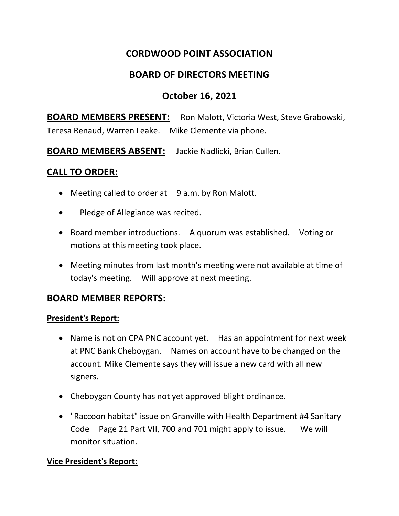# **CORDWOOD POINT ASSOCIATION**

## **BOARD OF DIRECTORS MEETING**

# **October 16, 2021**

**BOARD MEMBERS PRESENT:** Ron Malott, Victoria West, Steve Grabowski, Teresa Renaud, Warren Leake. Mike Clemente via phone.

**BOARD MEMBERS ABSENT:** Jackie Nadlicki, Brian Cullen.

## **CALL TO ORDER:**

- Meeting called to order at 9 a.m. by Ron Malott.
- Pledge of Allegiance was recited.
- Board member introductions. A quorum was established. Voting or motions at this meeting took place.
- Meeting minutes from last month's meeting were not available at time of today's meeting. Will approve at next meeting.

## **BOARD MEMBER REPORTS:**

#### **President's Report:**

- Name is not on CPA PNC account yet. Has an appointment for next week at PNC Bank Cheboygan. Names on account have to be changed on the account. Mike Clemente says they will issue a new card with all new signers.
- Cheboygan County has not yet approved blight ordinance.
- "Raccoon habitat" issue on Granville with Health Department #4 Sanitary Code Page 21 Part VII, 700 and 701 might apply to issue. We will monitor situation.

## **Vice President's Report:**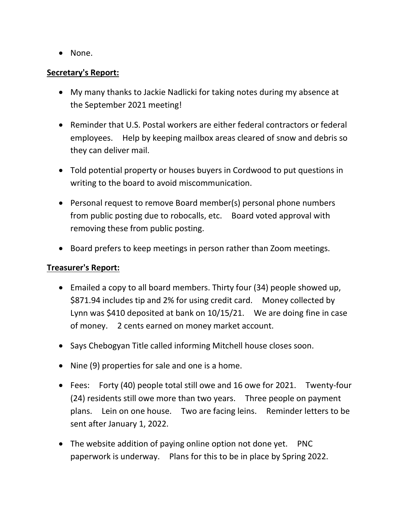• None.

#### **Secretary's Report:**

- My many thanks to Jackie Nadlicki for taking notes during my absence at the September 2021 meeting!
- Reminder that U.S. Postal workers are either federal contractors or federal employees. Help by keeping mailbox areas cleared of snow and debris so they can deliver mail.
- Told potential property or houses buyers in Cordwood to put questions in writing to the board to avoid miscommunication.
- Personal request to remove Board member(s) personal phone numbers from public posting due to robocalls, etc. Board voted approval with removing these from public posting.
- Board prefers to keep meetings in person rather than Zoom meetings.

## **Treasurer's Report:**

- Emailed a copy to all board members. Thirty four (34) people showed up, \$871.94 includes tip and 2% for using credit card. Money collected by Lynn was \$410 deposited at bank on 10/15/21. We are doing fine in case of money. 2 cents earned on money market account.
- Says Chebogyan Title called informing Mitchell house closes soon.
- Nine (9) properties for sale and one is a home.
- Fees: Forty (40) people total still owe and 16 owe for 2021. Twenty-four (24) residents still owe more than two years. Three people on payment plans. Lein on one house. Two are facing leins. Reminder letters to be sent after January 1, 2022.
- The website addition of paying online option not done yet. PNC paperwork is underway. Plans for this to be in place by Spring 2022.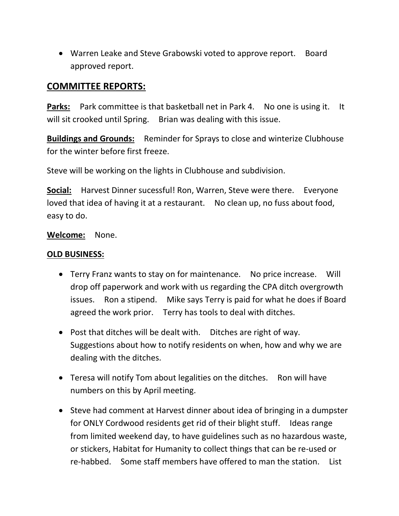• Warren Leake and Steve Grabowski voted to approve report. Board approved report.

## **COMMITTEE REPORTS:**

**Parks:** Park committee is that basketball net in Park 4. No one is using it. It will sit crooked until Spring. Brian was dealing with this issue.

**Buildings and Grounds:** Reminder for Sprays to close and winterize Clubhouse for the winter before first freeze.

Steve will be working on the lights in Clubhouse and subdivision.

**Social:** Harvest Dinner sucessful! Ron, Warren, Steve were there. Everyone loved that idea of having it at a restaurant. No clean up, no fuss about food, easy to do.

**Welcome:** None.

### **OLD BUSINESS:**

- Terry Franz wants to stay on for maintenance. No price increase. Will drop off paperwork and work with us regarding the CPA ditch overgrowth issues. Ron a stipend. Mike says Terry is paid for what he does if Board agreed the work prior. Terry has tools to deal with ditches.
- Post that ditches will be dealt with. Ditches are right of way. Suggestions about how to notify residents on when, how and why we are dealing with the ditches.
- Teresa will notify Tom about legalities on the ditches. Ron will have numbers on this by April meeting.
- Steve had comment at Harvest dinner about idea of bringing in a dumpster for ONLY Cordwood residents get rid of their blight stuff. Ideas range from limited weekend day, to have guidelines such as no hazardous waste, or stickers, Habitat for Humanity to collect things that can be re-used or re-habbed. Some staff members have offered to man the station. List